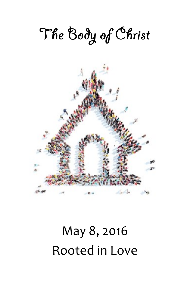# The Body of Christ



## May 8, 2016 Rooted in Love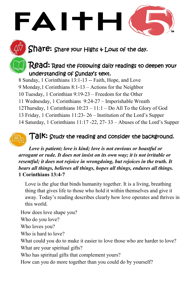Share: Share your Highs + Lows of the day.

### $\sf{Read:}$   $\sf{Read:}$  the following daily readings to deepen your understanding of Sunday's text.

8 Sunday, 1 Corinthians 13:1-13 -- Faith, Hope, and Love

FAITH

9 Monday,1 Corinthians 8:1-13 – Actions for the Neighbor

10 Tuesday, 1 Corinthian 9:19-23 – Freedom for the Other

11 Wednesday, 1 Corinthians 9:24-27 – Imperishable Wreath

12Thursday, 1 Corinthians 10:23 – 11:1 – Do All To the Glory of God

13 Friday, 1 Corinthians 11:23- 26 – Institution of the Lord's Supper

14 Saturday, 1 Corinthians 11:17 -22, 27- 33 – Abuses of the Lord's Supper

## $T$ a $\mathsf{K:}\,$  Study the reading and consider the background.

*Love is patient; love is kind; love is not envious or boastful or arrogant or rude. It does not insist on its own way; it is not irritable or resentful; it does not rejoice in wrongdoing, but rejoices in the truth. It bears all things, believes all things, hopes all things, endures all things.*  **1 Corinthians 13:4-7**

Love is the glue that binds humanity together. It is a living, breathing thing that gives life to those who hold it within themselves and give it away. Today's reading describes clearly how love operates and thrives in this world.

How does love shape you? Who do you love? Who loves you? Who is hard to love? What could you do to make it easier to love those who are harder to love? What are your spiritual gifts? Who has spiritual gifts that complement yours?

How can you do more together than you could do by yourself?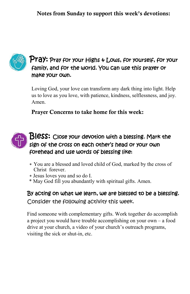

#### $\mathsf{Pra}\textsf{y:}$  Pray for your Highs  $\ast$  Lows, for yourself, for your family, and for the world. You can use this prayer or make your own.

Loving God, your love can transform any dark thing into light. Help us to love as you love, with patience, kindness, selflessness, and joy. Amen.

Prayer Concerns to take home for this week:



- You are a blessed and loved child of God, marked by the cross of Christ forever.
- Jesus loves you and so do I.
- \* May God fill you abundantly with spiritual gifts. Amen.

By acting on what we learn, we are blessed to be a blessing. Consider the following activity this week.

Find someone with complementary gifts. Work together do accomplish a project you would have trouble accomplishing on your own – a food drive at your church, a video of your church's outreach programs, visiting the sick or shut-in, etc.